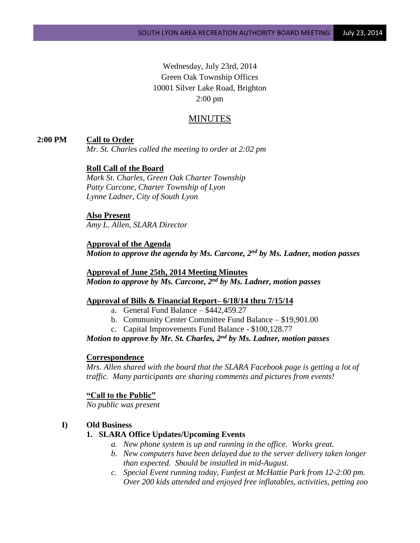Wednesday, July 23rd, 2014 Green Oak Township Offices 10001 Silver Lake Road, Brighton 2:00 pm

# MINUTES

## **2:00 PM Call to Order**

*Mr. St. Charles called the meeting to order at 2:02 pm*

## **Roll Call of the Board**

*Mark St. Charles, Green Oak Charter Township Patty Carcone, Charter Township of Lyon Lynne Ladner, City of South Lyon*

# **Also Present**

*Amy L. Allen, SLARA Director*

### **Approval of the Agenda**

*Motion to approve the agenda by Ms. Carcone, 2nd by Ms. Ladner, motion passes*

## **Approval of June 25th, 2014 Meeting Minutes** *Motion to approve by Ms. Carcone, 2nd by Ms. Ladner, motion passes*

#### **Approval of Bills & Financial Report– 6/18/14 thru 7/15/14**

- a. General Fund Balance  $$442,459.27$
- b. Community Center Committee Fund Balance \$19,901.00
- c. Capital Improvements Fund Balance \$100,128.77

## *Motion to approve by Mr. St. Charles, 2nd by Ms. Ladner, motion passes*

#### **Correspondence**

*Mrs. Allen shared with the board that the SLARA Facebook page is getting a lot of traffic. Many participants are sharing comments and pictures from events!*

#### **"Call to the Public"**

*No public was present*

#### **I) Old Business**

## **1. SLARA Office Updates/Upcoming Events**

- *a. New phone system is up and running in the office. Works great.*
- *b. New computers have been delayed due to the server delivery taken longer than expected. Should be installed in mid-August.*
- *c. Special Event running today, Funfest at McHattie Park from 12-2:00 pm. Over 200 kids attended and enjoyed free inflatables, activities, petting zoo*